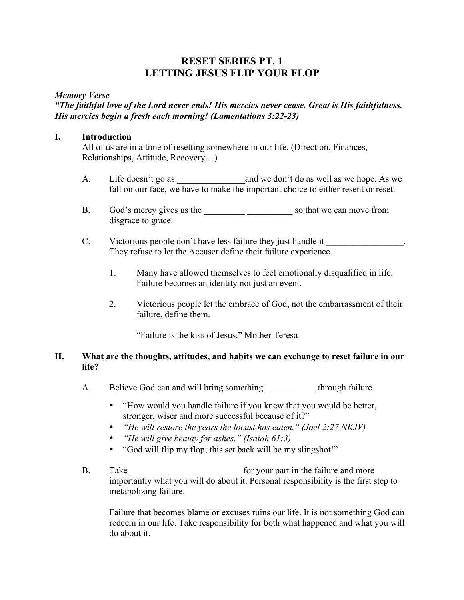# **RESET SERIES PT. 1 LETTING JESUS FLIP YOUR FLOP**

#### *Memory Verse*

# *"The faithful love of the Lord never ends! His mercies never cease. Great is His faithfulness. His mercies begin a fresh each morning! (Lamentations 3:22-23)*

#### **I. Introduction**

All of us are in a time of resetting somewhere in our life. (Direction, Finances, Relationships, Attitude, Recovery…)

- A. Life doesn't go as \_\_\_\_\_\_\_\_\_\_\_\_\_\_\_and we don't do as well as we hope. As we fall on our face, we have to make the important choice to either resent or reset.
- B. God's mercy gives us the \_\_\_\_\_\_\_\_\_ \_\_\_\_\_\_\_\_\_\_ so that we can move from disgrace to grace.
- C. Victorious people don't have less failure they just handle it \_\_\_\_\_\_\_\_\_\_\_\_\_\_. They refuse to let the Accuser define their failure experience.
	- 1. Many have allowed themselves to feel emotionally disqualified in life. Failure becomes an identity not just an event.
	- 2. Victorious people let the embrace of God, not the embarrassment of their failure, define them.

"Failure is the kiss of Jesus." Mother Teresa

## **II. What are the thoughts, attitudes, and habits we can exchange to reset failure in our life?**

- A. Believe God can and will bring something through failure.
	- "How would you handle failure if you knew that you would be better, stronger, wiser and more successful because of it?"
	- *"He will restore the years the locust has eaten." (Joel 2:27 NKJV)*
	- *"He will give beauty for ashes." (Isaiah 61:3)*
	- "God will flip my flop; this set back will be my slingshot!"
- B. Take for your part in the failure and more importantly what you will do about it. Personal responsibility is the first step to metabolizing failure.

Failure that becomes blame or excuses ruins our life. It is not something God can redeem in our life. Take responsibility for both what happened and what you will do about it.